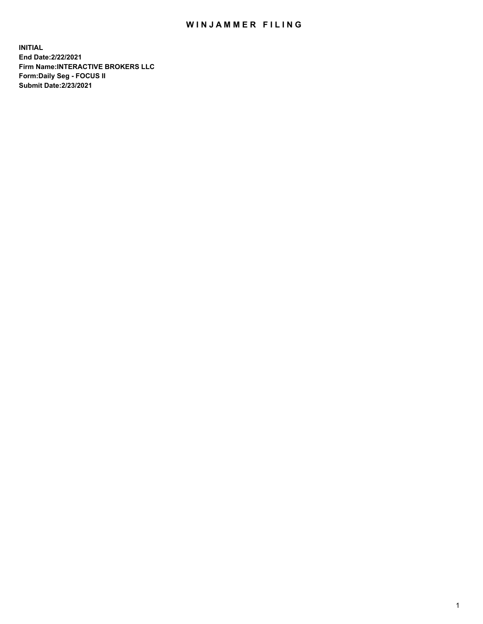## WIN JAMMER FILING

**INITIAL End Date:2/22/2021 Firm Name:INTERACTIVE BROKERS LLC Form:Daily Seg - FOCUS II Submit Date:2/23/2021**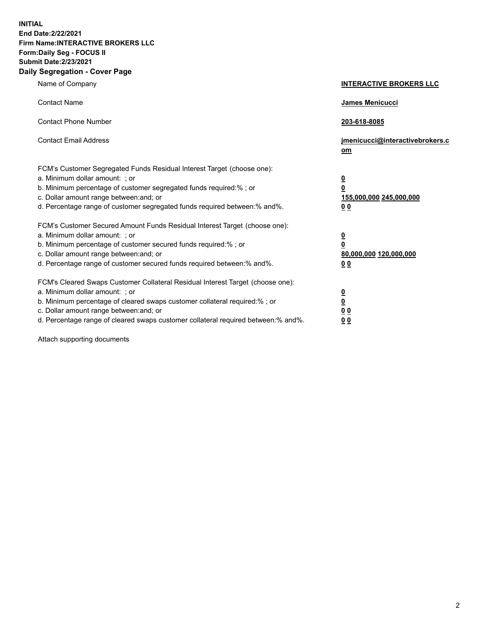**INITIAL End Date:2/22/2021 Firm Name:INTERACTIVE BROKERS LLC Form:Daily Seg - FOCUS II Submit Date:2/23/2021 Daily Segregation - Cover Page**

| Name of Company                                                                                                                                                                                                                                                                                                                | <b>INTERACTIVE BROKERS LLC</b>                                                     |  |
|--------------------------------------------------------------------------------------------------------------------------------------------------------------------------------------------------------------------------------------------------------------------------------------------------------------------------------|------------------------------------------------------------------------------------|--|
| <b>Contact Name</b>                                                                                                                                                                                                                                                                                                            | James Menicucci                                                                    |  |
| <b>Contact Phone Number</b>                                                                                                                                                                                                                                                                                                    | 203-618-8085                                                                       |  |
| <b>Contact Email Address</b>                                                                                                                                                                                                                                                                                                   | jmenicucci@interactivebrokers.c<br>om                                              |  |
| FCM's Customer Segregated Funds Residual Interest Target (choose one):<br>a. Minimum dollar amount: ; or<br>b. Minimum percentage of customer segregated funds required:% ; or<br>c. Dollar amount range between: and; or<br>d. Percentage range of customer segregated funds required between:% and%.                         | $\overline{\mathbf{0}}$<br>$\pmb{0}$<br>155,000,000 245,000,000<br>0 <sub>0</sub>  |  |
| FCM's Customer Secured Amount Funds Residual Interest Target (choose one):<br>a. Minimum dollar amount: ; or<br>b. Minimum percentage of customer secured funds required:% ; or<br>c. Dollar amount range between: and; or<br>d. Percentage range of customer secured funds required between:% and%.                           | $\overline{\mathbf{0}}$<br>$\overline{\mathbf{0}}$<br>80,000,000 120,000,000<br>00 |  |
| FCM's Cleared Swaps Customer Collateral Residual Interest Target (choose one):<br>a. Minimum dollar amount: ; or<br>b. Minimum percentage of cleared swaps customer collateral required:% ; or<br>c. Dollar amount range between: and; or<br>d. Percentage range of cleared swaps customer collateral required between:% and%. | $\frac{0}{0}$<br>0 <sub>0</sub><br>0 <sub>0</sub>                                  |  |

Attach supporting documents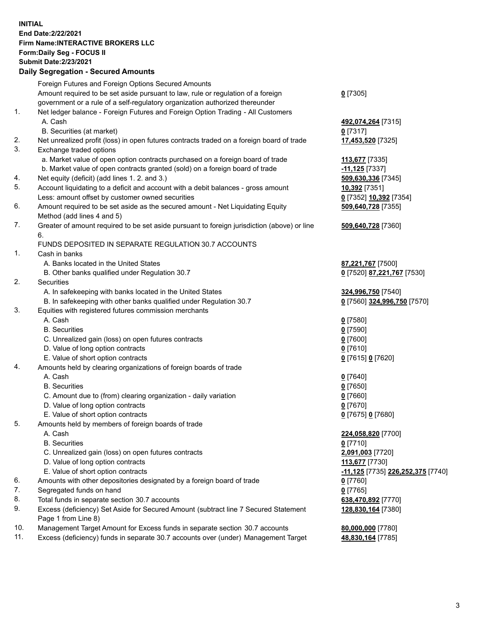**INITIAL End Date:2/22/2021 Firm Name:INTERACTIVE BROKERS LLC Form:Daily Seg - FOCUS II Submit Date:2/23/2021 Daily Segregation - Secured Amounts**

## Foreign Futures and Foreign Options Secured Amounts Amount required to be set aside pursuant to law, rule or regulation of a foreign government or a rule of a self-regulatory organization authorized thereunder **0** [7305] 1. Net ledger balance - Foreign Futures and Foreign Option Trading - All Customers A. Cash **492,074,264** [7315] B. Securities (at market) **0** [7317] 2. Net unrealized profit (loss) in open futures contracts traded on a foreign board of trade **17,453,520** [7325] 3. Exchange traded options a. Market value of open option contracts purchased on a foreign board of trade **113,677** [7335] b. Market value of open contracts granted (sold) on a foreign board of trade **-11,125** [7337] 4. Net equity (deficit) (add lines 1. 2. and 3.) **509,630,336** [7345] 5. Account liquidating to a deficit and account with a debit balances - gross amount **10,392** [7351] Less: amount offset by customer owned securities **0** [7352] **10,392** [7354] 6. Amount required to be set aside as the secured amount - Net Liquidating Equity Method (add lines 4 and 5) **509,640,728** [7355] 7. Greater of amount required to be set aside pursuant to foreign jurisdiction (above) or line 6. **509,640,728** [7360] FUNDS DEPOSITED IN SEPARATE REGULATION 30.7 ACCOUNTS 1. Cash in banks A. Banks located in the United States **87,221,767** [7500] B. Other banks qualified under Regulation 30.7 **0** [7520] **87,221,767** [7530] 2. Securities A. In safekeeping with banks located in the United States **324,996,750** [7540] B. In safekeeping with other banks qualified under Regulation 30.7 **0** [7560] **324,996,750** [7570] 3. Equities with registered futures commission merchants A. Cash **0** [7580] B. Securities **0** [7590] C. Unrealized gain (loss) on open futures contracts **0** [7600] D. Value of long option contracts **0** [7610] E. Value of short option contracts **0** [7615] **0** [7620] 4. Amounts held by clearing organizations of foreign boards of trade A. Cash **0** [7640] B. Securities **0** [7650] C. Amount due to (from) clearing organization - daily variation **0** [7660] D. Value of long option contracts **0** [7670] E. Value of short option contracts **0** [7675] **0** [7680] 5. Amounts held by members of foreign boards of trade A. Cash **224,058,820** [7700] B. Securities **0** [7710] C. Unrealized gain (loss) on open futures contracts **2,091,003** [7720] D. Value of long option contracts **113,677** [7730] E. Value of short option contracts **-11,125** [7735] **226,252,375** [7740] 6. Amounts with other depositories designated by a foreign board of trade **0** [7760] 7. Segregated funds on hand **0** [7765]<br>
8. Total funds in separate section 30.7 accounts **1990 12:00 12:00 12:00 12:00 12:00 12:00 12:00 12:00 12:00** 8. Total funds in separate section 30.7 accounts 9. Excess (deficiency) Set Aside for Secured Amount (subtract line 7 Secured Statement Page 1 from Line 8) **128,830,164** [7380] 10. Management Target Amount for Excess funds in separate section 30.7 accounts **80,000,000** [7780] 11. Excess (deficiency) funds in separate 30.7 accounts over (under) Management Target **48,830,164** [7785]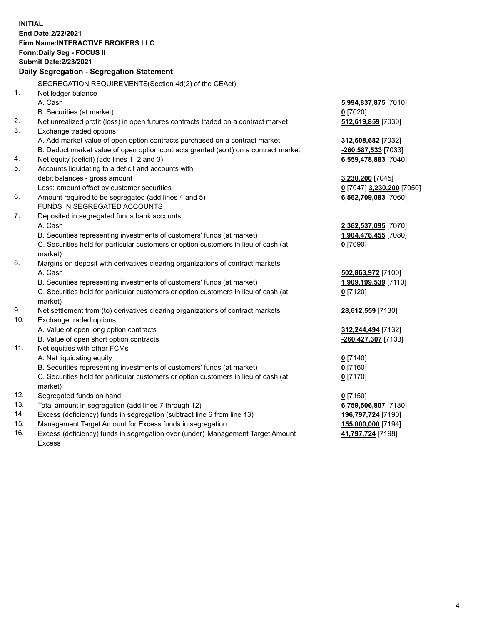**INITIAL End Date:2/22/2021 Firm Name:INTERACTIVE BROKERS LLC Form:Daily Seg - FOCUS II Submit Date:2/23/2021 Daily Segregation - Segregation Statement** SEGREGATION REQUIREMENTS(Section 4d(2) of the CEAct) 1. Net ledger balance A. Cash **5,994,837,875** [7010] B. Securities (at market) **0** [7020] 2. Net unrealized profit (loss) in open futures contracts traded on a contract market **512,619,859** [7030] 3. Exchange traded options A. Add market value of open option contracts purchased on a contract market **312,608,682** [7032] B. Deduct market value of open option contracts granted (sold) on a contract market **-260,587,533** [7033] 4. Net equity (deficit) (add lines 1, 2 and 3) **6,559,478,883** [7040] 5. Accounts liquidating to a deficit and accounts with debit balances - gross amount **3,230,200** [7045] Less: amount offset by customer securities **0** [7047] **3,230,200** [7050] 6. Amount required to be segregated (add lines 4 and 5) **6,562,709,083** [7060] FUNDS IN SEGREGATED ACCOUNTS 7. Deposited in segregated funds bank accounts A. Cash **2,362,537,095** [7070] B. Securities representing investments of customers' funds (at market) **1,904,476,455** [7080] C. Securities held for particular customers or option customers in lieu of cash (at market) **0** [7090] 8. Margins on deposit with derivatives clearing organizations of contract markets A. Cash **502,863,972** [7100] B. Securities representing investments of customers' funds (at market) **1,909,199,539** [7110] C. Securities held for particular customers or option customers in lieu of cash (at market) **0** [7120] 9. Net settlement from (to) derivatives clearing organizations of contract markets **28,612,559** [7130] 10. Exchange traded options A. Value of open long option contracts **312,244,494** [7132] B. Value of open short option contracts **-260,427,307** [7133] 11. Net equities with other FCMs A. Net liquidating equity **0** [7140] B. Securities representing investments of customers' funds (at market) **0** [7160] C. Securities held for particular customers or option customers in lieu of cash (at market) **0** [7170] 12. Segregated funds on hand **0** [7150] 13. Total amount in segregation (add lines 7 through 12) **6,759,506,807** [7180] 14. Excess (deficiency) funds in segregation (subtract line 6 from line 13) **196,797,724** [7190] 15. Management Target Amount for Excess funds in segregation **155,000,000** [7194] 16. Excess (deficiency) funds in segregation over (under) Management Target Amount **41,797,724** [7198]

Excess